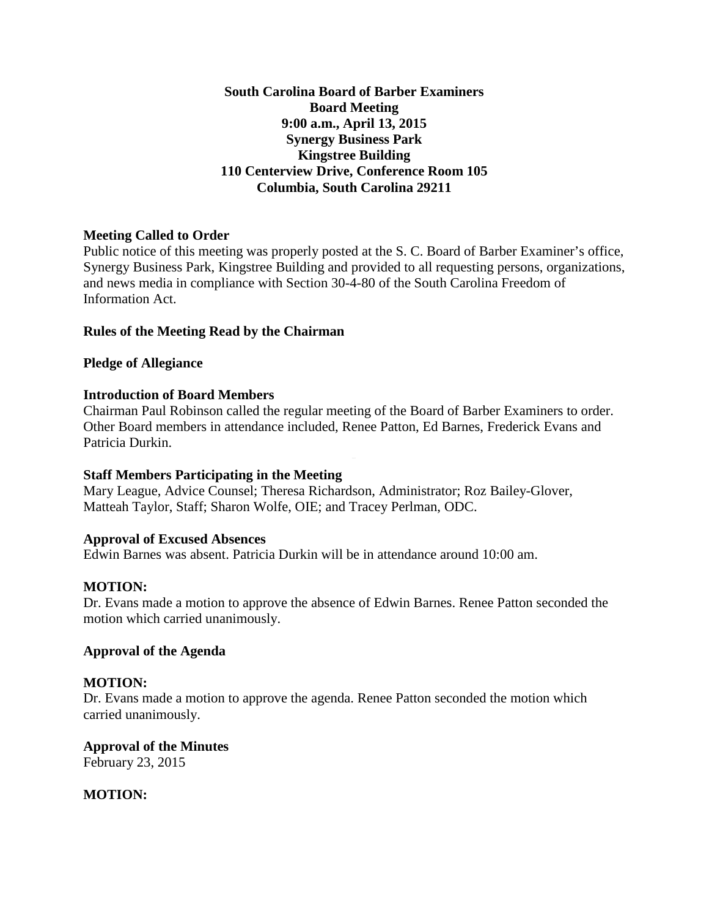**South Carolina Board of Barber Examiners Board Meeting 9:00 a.m., April 13, 2015 Synergy Business Park Kingstree Building 110 Centerview Drive, Conference Room 105 Columbia, South Carolina 29211**

## **Meeting Called to Order**

Public notice of this meeting was properly posted at the S. C. Board of Barber Examiner's office, Synergy Business Park, Kingstree Building and provided to all requesting persons, organizations, and news media in compliance with Section 30-4-80 of the South Carolina Freedom of Information Act.

## **Rules of the Meeting Read by the Chairman**

## **Pledge of Allegiance**

## **Introduction of Board Members**

Chairman Paul Robinson called the regular meeting of the Board of Barber Examiners to order. Other Board members in attendance included, Renee Patton, Ed Barnes, Frederick Evans and Patricia Durkin.

### **Staff Members Participating in the Meeting**

Mary League, Advice Counsel; Theresa Richardson, Administrator; Roz Bailey-Glover, Matteah Taylor, Staff; Sharon Wolfe, OIE; and Tracey Perlman, ODC.

### **Approval of Excused Absences**

Edwin Barnes was absent. Patricia Durkin will be in attendance around 10:00 am.

# **MOTION:**

Dr. Evans made a motion to approve the absence of Edwin Barnes. Renee Patton seconded the motion which carried unanimously.

### **Approval of the Agenda**

### **MOTION:**

Dr. Evans made a motion to approve the agenda. Renee Patton seconded the motion which carried unanimously.

**Approval of the Minutes** February 23, 2015

# **MOTION:**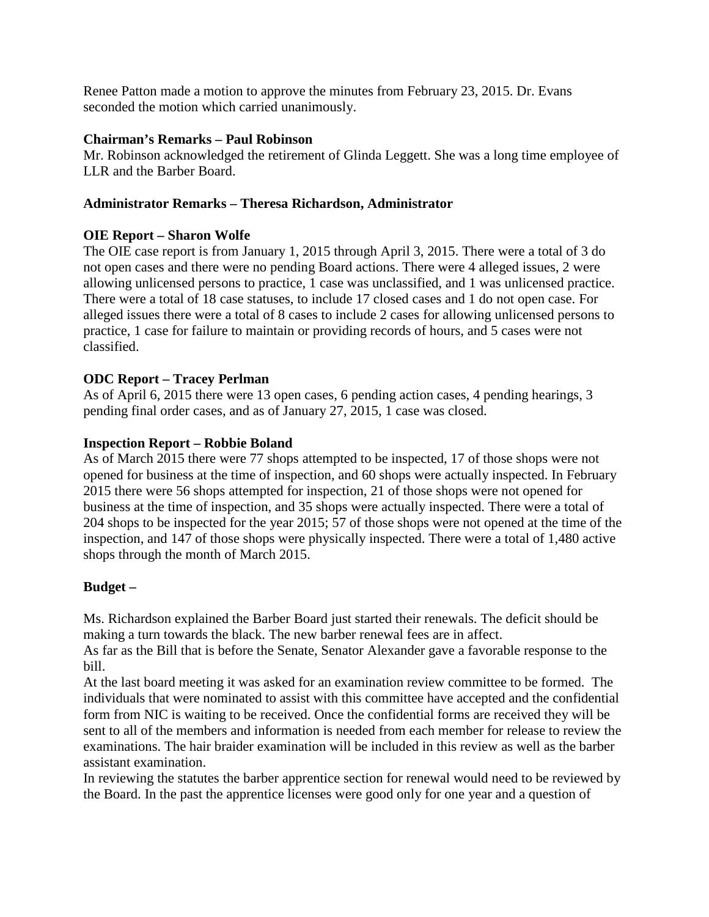Renee Patton made a motion to approve the minutes from February 23, 2015. Dr. Evans seconded the motion which carried unanimously.

## **Chairman's Remarks – Paul Robinson**

Mr. Robinson acknowledged the retirement of Glinda Leggett. She was a long time employee of LLR and the Barber Board.

## **Administrator Remarks – Theresa Richardson, Administrator**

# **OIE Report – Sharon Wolfe**

The OIE case report is from January 1, 2015 through April 3, 2015. There were a total of 3 do not open cases and there were no pending Board actions. There were 4 alleged issues, 2 were allowing unlicensed persons to practice, 1 case was unclassified, and 1 was unlicensed practice. There were a total of 18 case statuses, to include 17 closed cases and 1 do not open case. For alleged issues there were a total of 8 cases to include 2 cases for allowing unlicensed persons to practice, 1 case for failure to maintain or providing records of hours, and 5 cases were not classified.

## **ODC Report – Tracey Perlman**

As of April 6, 2015 there were 13 open cases, 6 pending action cases, 4 pending hearings, 3 pending final order cases, and as of January 27, 2015, 1 case was closed.

## **Inspection Report – Robbie Boland**

As of March 2015 there were 77 shops attempted to be inspected, 17 of those shops were not opened for business at the time of inspection, and 60 shops were actually inspected. In February 2015 there were 56 shops attempted for inspection, 21 of those shops were not opened for business at the time of inspection, and 35 shops were actually inspected. There were a total of 204 shops to be inspected for the year 2015; 57 of those shops were not opened at the time of the inspection, and 147 of those shops were physically inspected. There were a total of 1,480 active shops through the month of March 2015.

# **Budget –**

Ms. Richardson explained the Barber Board just started their renewals. The deficit should be making a turn towards the black. The new barber renewal fees are in affect.

As far as the Bill that is before the Senate, Senator Alexander gave a favorable response to the bill.

At the last board meeting it was asked for an examination review committee to be formed. The individuals that were nominated to assist with this committee have accepted and the confidential form from NIC is waiting to be received. Once the confidential forms are received they will be sent to all of the members and information is needed from each member for release to review the examinations. The hair braider examination will be included in this review as well as the barber assistant examination.

In reviewing the statutes the barber apprentice section for renewal would need to be reviewed by the Board. In the past the apprentice licenses were good only for one year and a question of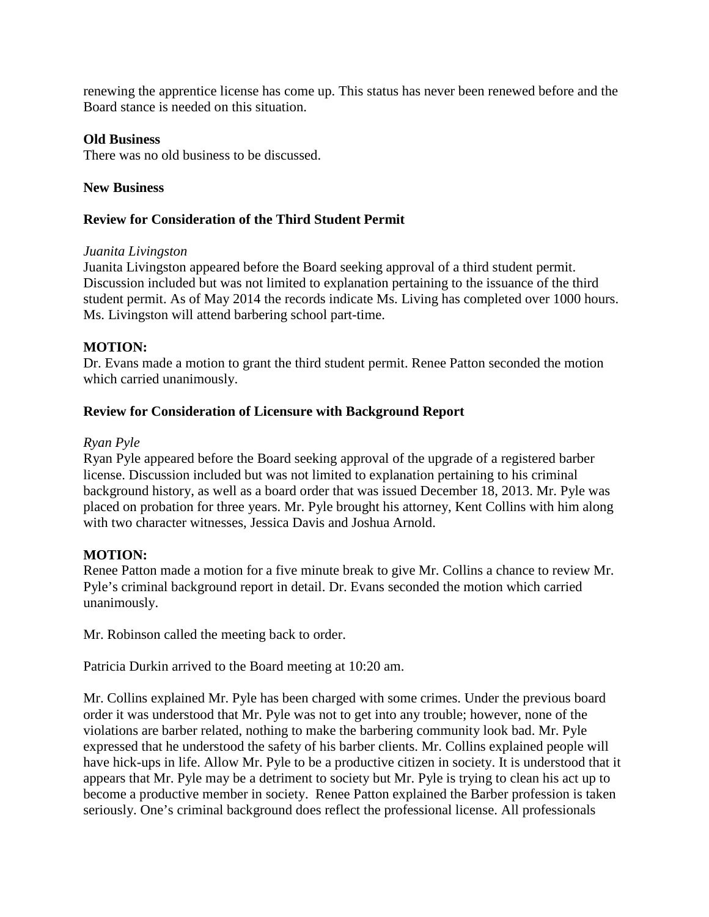renewing the apprentice license has come up. This status has never been renewed before and the Board stance is needed on this situation.

### **Old Business**

There was no old business to be discussed.

## **New Business**

## **Review for Consideration of the Third Student Permit**

### *Juanita Livingston*

Juanita Livingston appeared before the Board seeking approval of a third student permit. Discussion included but was not limited to explanation pertaining to the issuance of the third student permit. As of May 2014 the records indicate Ms. Living has completed over 1000 hours. Ms. Livingston will attend barbering school part-time.

## **MOTION:**

Dr. Evans made a motion to grant the third student permit. Renee Patton seconded the motion which carried unanimously.

## **Review for Consideration of Licensure with Background Report**

### *Ryan Pyle*

Ryan Pyle appeared before the Board seeking approval of the upgrade of a registered barber license. Discussion included but was not limited to explanation pertaining to his criminal background history, as well as a board order that was issued December 18, 2013. Mr. Pyle was placed on probation for three years. Mr. Pyle brought his attorney, Kent Collins with him along with two character witnesses, Jessica Davis and Joshua Arnold.

# **MOTION:**

Renee Patton made a motion for a five minute break to give Mr. Collins a chance to review Mr. Pyle's criminal background report in detail. Dr. Evans seconded the motion which carried unanimously.

Mr. Robinson called the meeting back to order.

Patricia Durkin arrived to the Board meeting at 10:20 am.

Mr. Collins explained Mr. Pyle has been charged with some crimes. Under the previous board order it was understood that Mr. Pyle was not to get into any trouble; however, none of the violations are barber related, nothing to make the barbering community look bad. Mr. Pyle expressed that he understood the safety of his barber clients. Mr. Collins explained people will have hick-ups in life. Allow Mr. Pyle to be a productive citizen in society. It is understood that it appears that Mr. Pyle may be a detriment to society but Mr. Pyle is trying to clean his act up to become a productive member in society. Renee Patton explained the Barber profession is taken seriously. One's criminal background does reflect the professional license. All professionals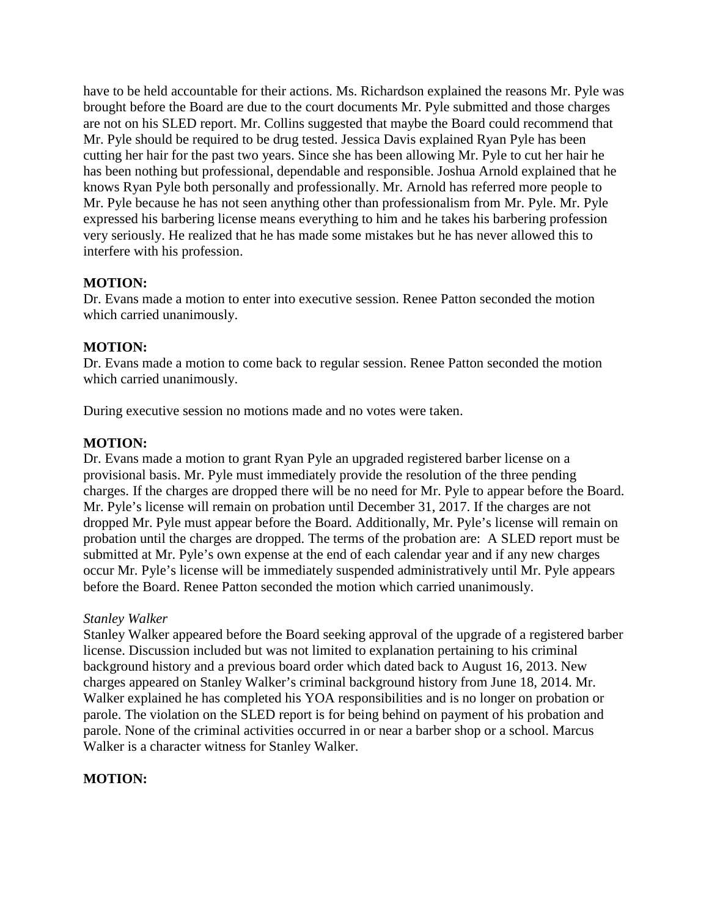have to be held accountable for their actions. Ms. Richardson explained the reasons Mr. Pyle was brought before the Board are due to the court documents Mr. Pyle submitted and those charges are not on his SLED report. Mr. Collins suggested that maybe the Board could recommend that Mr. Pyle should be required to be drug tested. Jessica Davis explained Ryan Pyle has been cutting her hair for the past two years. Since she has been allowing Mr. Pyle to cut her hair he has been nothing but professional, dependable and responsible. Joshua Arnold explained that he knows Ryan Pyle both personally and professionally. Mr. Arnold has referred more people to Mr. Pyle because he has not seen anything other than professionalism from Mr. Pyle. Mr. Pyle expressed his barbering license means everything to him and he takes his barbering profession very seriously. He realized that he has made some mistakes but he has never allowed this to interfere with his profession.

# **MOTION:**

Dr. Evans made a motion to enter into executive session. Renee Patton seconded the motion which carried unanimously.

## **MOTION:**

Dr. Evans made a motion to come back to regular session. Renee Patton seconded the motion which carried unanimously.

During executive session no motions made and no votes were taken.

## **MOTION:**

Dr. Evans made a motion to grant Ryan Pyle an upgraded registered barber license on a provisional basis. Mr. Pyle must immediately provide the resolution of the three pending charges. If the charges are dropped there will be no need for Mr. Pyle to appear before the Board. Mr. Pyle's license will remain on probation until December 31, 2017. If the charges are not dropped Mr. Pyle must appear before the Board. Additionally, Mr. Pyle's license will remain on probation until the charges are dropped. The terms of the probation are: A SLED report must be submitted at Mr. Pyle's own expense at the end of each calendar year and if any new charges occur Mr. Pyle's license will be immediately suspended administratively until Mr. Pyle appears before the Board. Renee Patton seconded the motion which carried unanimously.

### *Stanley Walker*

Stanley Walker appeared before the Board seeking approval of the upgrade of a registered barber license. Discussion included but was not limited to explanation pertaining to his criminal background history and a previous board order which dated back to August 16, 2013. New charges appeared on Stanley Walker's criminal background history from June 18, 2014. Mr. Walker explained he has completed his YOA responsibilities and is no longer on probation or parole. The violation on the SLED report is for being behind on payment of his probation and parole. None of the criminal activities occurred in or near a barber shop or a school. Marcus Walker is a character witness for Stanley Walker.

# **MOTION:**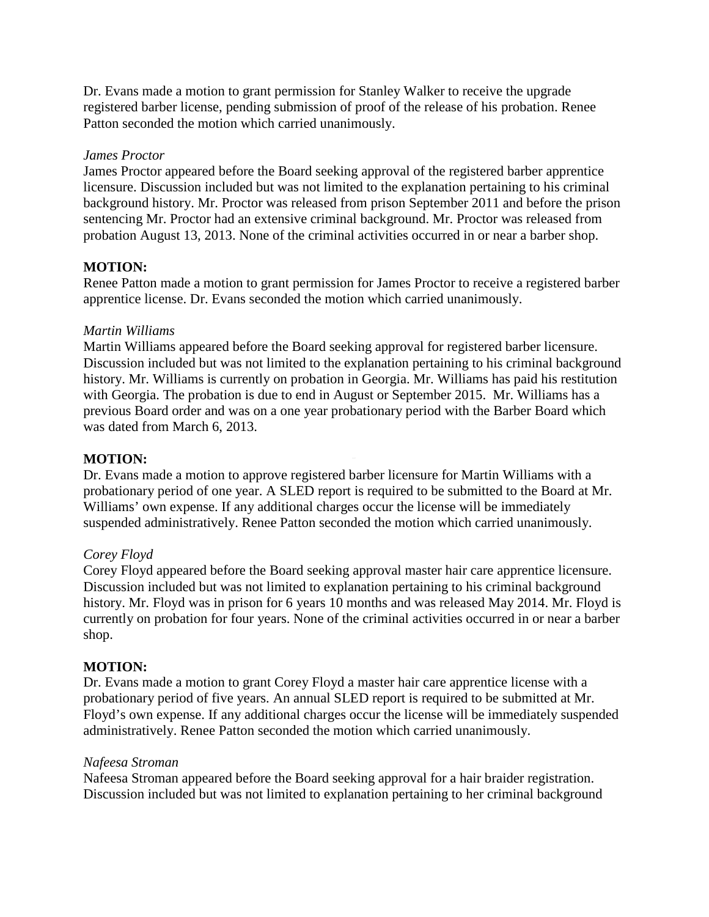Dr. Evans made a motion to grant permission for Stanley Walker to receive the upgrade registered barber license, pending submission of proof of the release of his probation. Renee Patton seconded the motion which carried unanimously.

## *James Proctor*

James Proctor appeared before the Board seeking approval of the registered barber apprentice licensure. Discussion included but was not limited to the explanation pertaining to his criminal background history. Mr. Proctor was released from prison September 2011 and before the prison sentencing Mr. Proctor had an extensive criminal background. Mr. Proctor was released from probation August 13, 2013. None of the criminal activities occurred in or near a barber shop.

# **MOTION:**

Renee Patton made a motion to grant permission for James Proctor to receive a registered barber apprentice license. Dr. Evans seconded the motion which carried unanimously.

### *Martin Williams*

Martin Williams appeared before the Board seeking approval for registered barber licensure. Discussion included but was not limited to the explanation pertaining to his criminal background history. Mr. Williams is currently on probation in Georgia. Mr. Williams has paid his restitution with Georgia. The probation is due to end in August or September 2015. Mr. Williams has a previous Board order and was on a one year probationary period with the Barber Board which was dated from March 6, 2013.

### **MOTION:**

Dr. Evans made a motion to approve registered barber licensure for Martin Williams with a probationary period of one year. A SLED report is required to be submitted to the Board at Mr. Williams' own expense. If any additional charges occur the license will be immediately suspended administratively. Renee Patton seconded the motion which carried unanimously.

### *Corey Floyd*

Corey Floyd appeared before the Board seeking approval master hair care apprentice licensure. Discussion included but was not limited to explanation pertaining to his criminal background history. Mr. Floyd was in prison for 6 years 10 months and was released May 2014. Mr. Floyd is currently on probation for four years. None of the criminal activities occurred in or near a barber shop.

### **MOTION:**

Dr. Evans made a motion to grant Corey Floyd a master hair care apprentice license with a probationary period of five years. An annual SLED report is required to be submitted at Mr. Floyd's own expense. If any additional charges occur the license will be immediately suspended administratively. Renee Patton seconded the motion which carried unanimously.

#### *Nafeesa Stroman*

Nafeesa Stroman appeared before the Board seeking approval for a hair braider registration. Discussion included but was not limited to explanation pertaining to her criminal background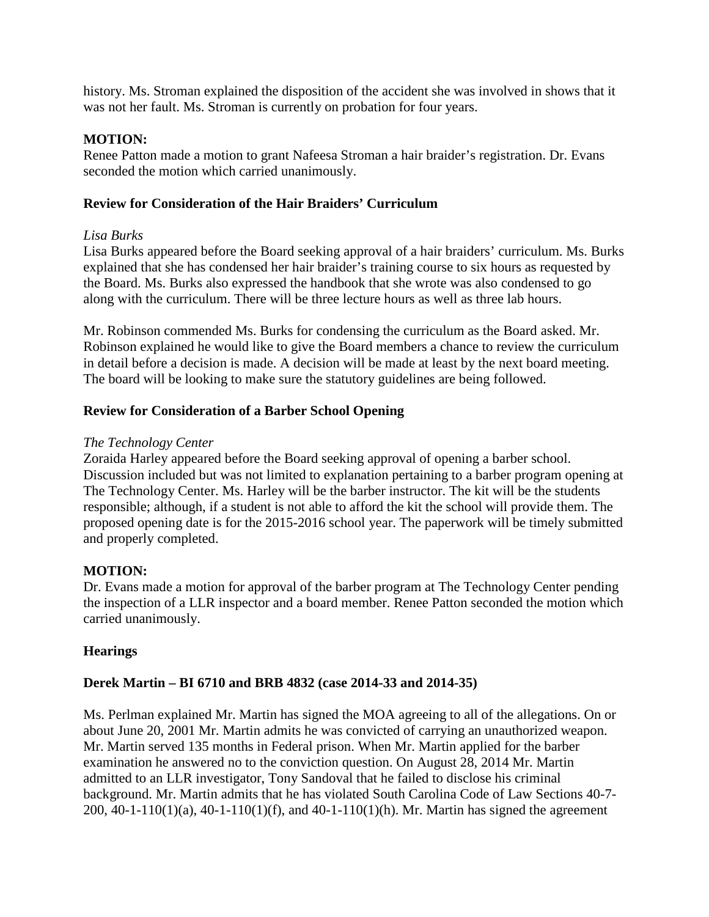history. Ms. Stroman explained the disposition of the accident she was involved in shows that it was not her fault. Ms. Stroman is currently on probation for four years.

## **MOTION:**

Renee Patton made a motion to grant Nafeesa Stroman a hair braider's registration. Dr. Evans seconded the motion which carried unanimously.

## **Review for Consideration of the Hair Braiders' Curriculum**

## *Lisa Burks*

Lisa Burks appeared before the Board seeking approval of a hair braiders' curriculum. Ms. Burks explained that she has condensed her hair braider's training course to six hours as requested by the Board. Ms. Burks also expressed the handbook that she wrote was also condensed to go along with the curriculum. There will be three lecture hours as well as three lab hours.

Mr. Robinson commended Ms. Burks for condensing the curriculum as the Board asked. Mr. Robinson explained he would like to give the Board members a chance to review the curriculum in detail before a decision is made. A decision will be made at least by the next board meeting. The board will be looking to make sure the statutory guidelines are being followed.

## **Review for Consideration of a Barber School Opening**

### *The Technology Center*

Zoraida Harley appeared before the Board seeking approval of opening a barber school. Discussion included but was not limited to explanation pertaining to a barber program opening at The Technology Center. Ms. Harley will be the barber instructor. The kit will be the students responsible; although, if a student is not able to afford the kit the school will provide them. The proposed opening date is for the 2015-2016 school year. The paperwork will be timely submitted and properly completed.

# **MOTION:**

Dr. Evans made a motion for approval of the barber program at The Technology Center pending the inspection of a LLR inspector and a board member. Renee Patton seconded the motion which carried unanimously.

# **Hearings**

# **Derek Martin – BI 6710 and BRB 4832 (case 2014-33 and 2014-35)**

Ms. Perlman explained Mr. Martin has signed the MOA agreeing to all of the allegations. On or about June 20, 2001 Mr. Martin admits he was convicted of carrying an unauthorized weapon. Mr. Martin served 135 months in Federal prison. When Mr. Martin applied for the barber examination he answered no to the conviction question. On August 28, 2014 Mr. Martin admitted to an LLR investigator, Tony Sandoval that he failed to disclose his criminal background. Mr. Martin admits that he has violated South Carolina Code of Law Sections 40-7- 200,  $40-1-110(1)(a)$ ,  $40-1-110(1)(f)$ , and  $40-1-110(1)(h)$ . Mr. Martin has signed the agreement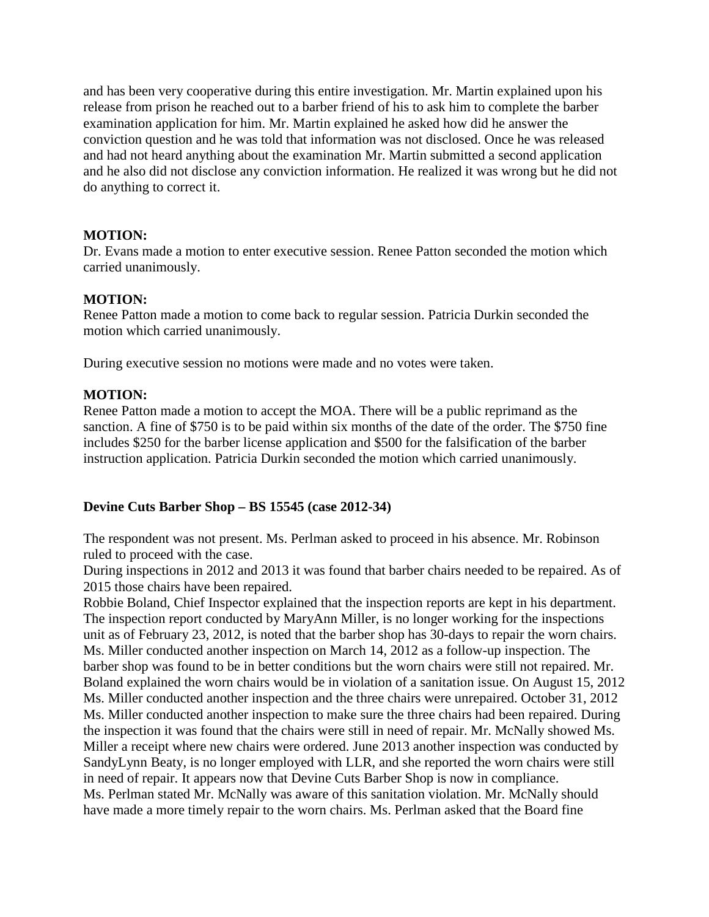and has been very cooperative during this entire investigation. Mr. Martin explained upon his release from prison he reached out to a barber friend of his to ask him to complete the barber examination application for him. Mr. Martin explained he asked how did he answer the conviction question and he was told that information was not disclosed. Once he was released and had not heard anything about the examination Mr. Martin submitted a second application and he also did not disclose any conviction information. He realized it was wrong but he did not do anything to correct it.

## **MOTION:**

Dr. Evans made a motion to enter executive session. Renee Patton seconded the motion which carried unanimously.

## **MOTION:**

Renee Patton made a motion to come back to regular session. Patricia Durkin seconded the motion which carried unanimously.

During executive session no motions were made and no votes were taken.

## **MOTION:**

instruction application. Patricia Durkin seconded the motion which carried unanimously. Renee Patton made a motion to accept the MOA. There will be a public reprimand as the sanction. A fine of \$750 is to be paid within six months of the date of the order. The \$750 fine includes \$250 for the barber license application and \$500 for the falsification of the barber

### **Devine Cuts Barber Shop – BS 15545 (case 2012-34)**

The respondent was not present. Ms. Perlman asked to proceed in his absence. Mr. Robinson ruled to proceed with the case.

During inspections in 2012 and 2013 it was found that barber chairs needed to be repaired. As of 2015 those chairs have been repaired.

Robbie Boland, Chief Inspector explained that the inspection reports are kept in his department. The inspection report conducted by MaryAnn Miller, is no longer working for the inspections unit as of February 23, 2012, is noted that the barber shop has 30-days to repair the worn chairs. Ms. Miller conducted another inspection on March 14, 2012 as a follow-up inspection. The barber shop was found to be in better conditions but the worn chairs were still not repaired. Mr. Boland explained the worn chairs would be in violation of a sanitation issue. On August 15, 2012 Ms. Miller conducted another inspection and the three chairs were unrepaired. October 31, 2012 Ms. Miller conducted another inspection to make sure the three chairs had been repaired. During the inspection it was found that the chairs were still in need of repair. Mr. McNally showed Ms. Miller a receipt where new chairs were ordered. June 2013 another inspection was conducted by SandyLynn Beaty, is no longer employed with LLR, and she reported the worn chairs were still in need of repair. It appears now that Devine Cuts Barber Shop is now in compliance. Ms. Perlman stated Mr. McNally was aware of this sanitation violation. Mr. McNally should have made a more timely repair to the worn chairs. Ms. Perlman asked that the Board fine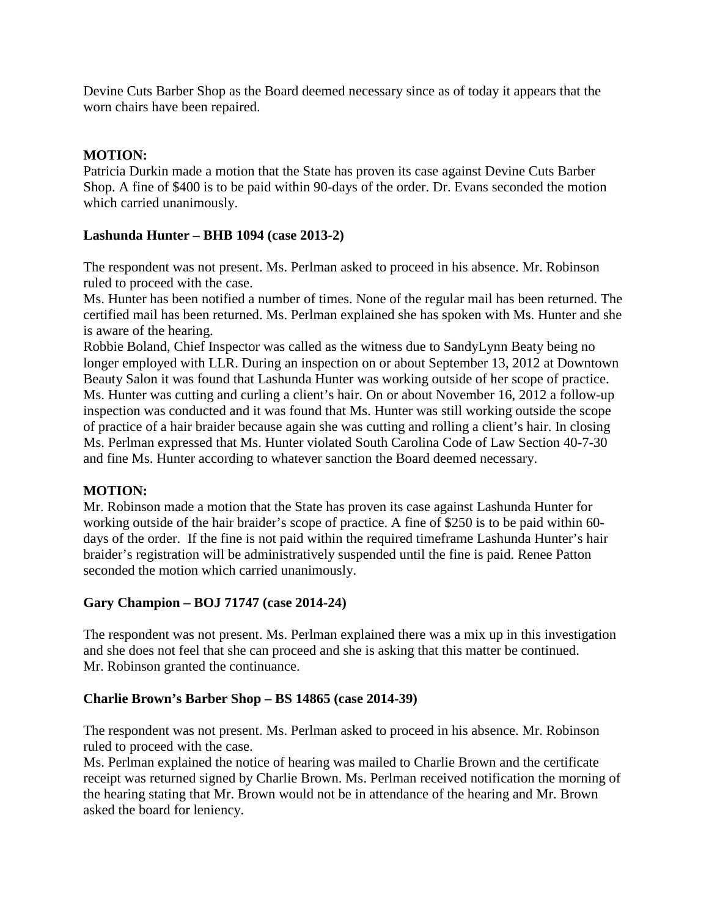Devine Cuts Barber Shop as the Board deemed necessary since as of today it appears that the worn chairs have been repaired.

# **MOTION:**

Patricia Durkin made a motion that the State has proven its case against Devine Cuts Barber Shop. A fine of \$400 is to be paid within 90-days of the order. Dr. Evans seconded the motion which carried unanimously.

# **Lashunda Hunter – BHB 1094 (case 2013-2)**

The respondent was not present. Ms. Perlman asked to proceed in his absence. Mr. Robinson ruled to proceed with the case.

Ms. Hunter has been notified a number of times. None of the regular mail has been returned. The certified mail has been returned. Ms. Perlman explained she has spoken with Ms. Hunter and she is aware of the hearing.

and fine Ms. Hunter according to whatever sanction the Board deemed necessary. Robbie Boland, Chief Inspector was called as the witness due to SandyLynn Beaty being no longer employed with LLR. During an inspection on or about September 13, 2012 at Downtown Beauty Salon it was found that Lashunda Hunter was working outside of her scope of practice. Ms. Hunter was cutting and curling a client's hair. On or about November 16, 2012 a follow-up inspection was conducted and it was found that Ms. Hunter was still working outside the scope of practice of a hair braider because again she was cutting and rolling a client's hair. In closing Ms. Perlman expressed that Ms. Hunter violated South Carolina Code of Law Section 40-7-30

# **MOTION:**

Mr. Robinson made a motion that the State has proven its case against Lashunda Hunter for working outside of the hair braider's scope of practice. A fine of \$250 is to be paid within 60 days of the order. If the fine is not paid within the required timeframe Lashunda Hunter's hair braider's registration will be administratively suspended until the fine is paid. Renee Patton seconded the motion which carried unanimously.

### **Gary Champion – BOJ 71747 (case 2014-24)**

The respondent was not present. Ms. Perlman explained there was a mix up in this investigation and she does not feel that she can proceed and she is asking that this matter be continued. Mr. Robinson granted the continuance.

### **Charlie Brown's Barber Shop – BS 14865 (case 2014-39)**

The respondent was not present. Ms. Perlman asked to proceed in his absence. Mr. Robinson ruled to proceed with the case.

Ms. Perlman explained the notice of hearing was mailed to Charlie Brown and the certificate receipt was returned signed by Charlie Brown. Ms. Perlman received notification the morning of the hearing stating that Mr. Brown would not be in attendance of the hearing and Mr. Brown asked the board for leniency.